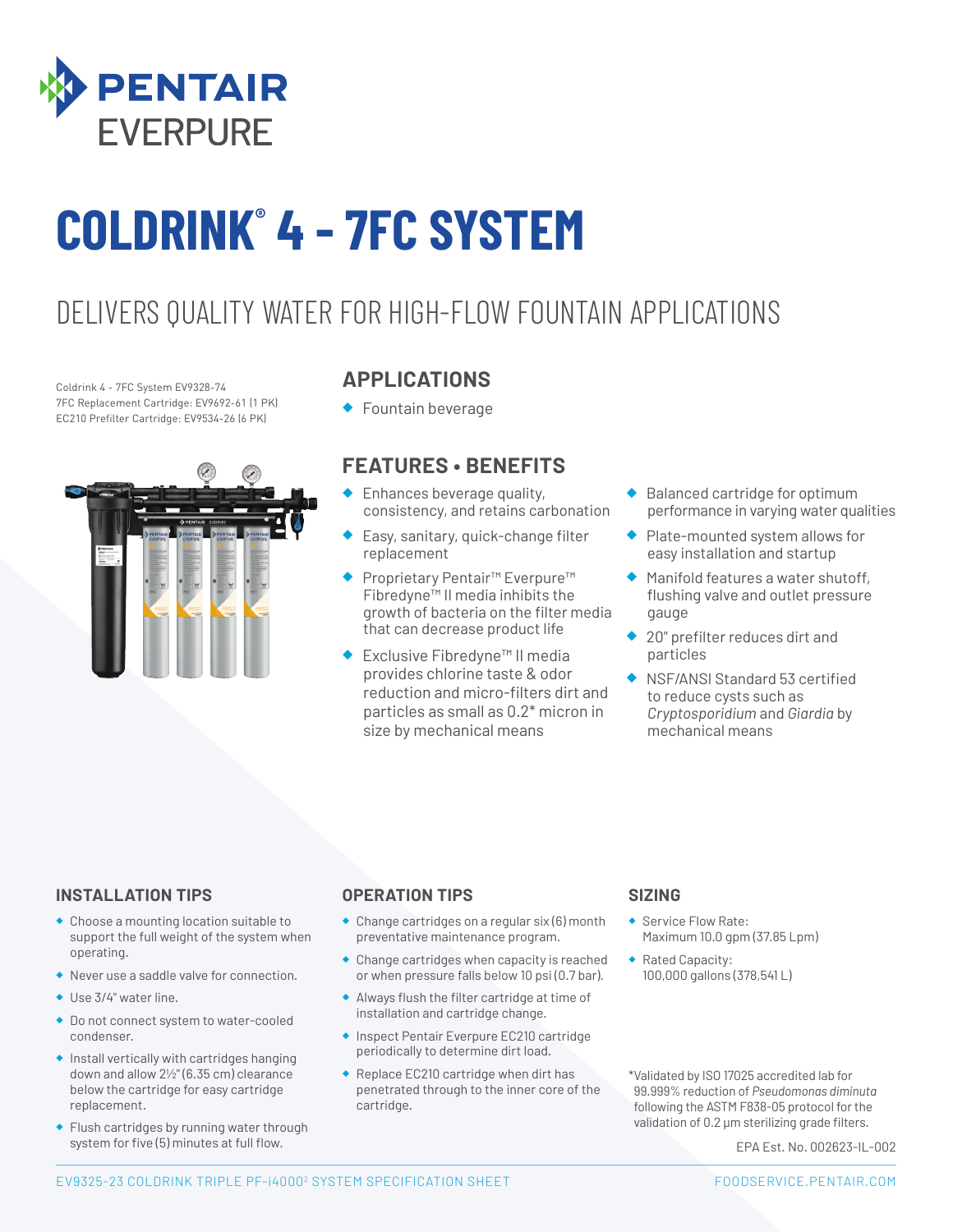

# **COLDRINK® 4 - 7FC SYSTEM**

### DELIVERS QUALITY WATER FOR HIGH-FLOW FOUNTAIN APPLICATIONS

Coldrink 4 - 7FC System EV9328-74 7FC Replacement Cartridge: EV9692-61 (1 PK) EC210 Prefilter Cartridge: EV9534-26 (6 PK)



#### **APPLICATIONS**

◆ Fountain beverage

#### **FEATURES • BENEFITS**

- ◆ Enhances beverage quality, consistency, and retains carbonation
- Easy, sanitary, quick-change filter replacement
- Proprietary Pentair<sup>™</sup> Everpure<sup>™</sup> Fibredyne™ II media inhibits the growth of bacteria on the filter media that can decrease product life
- Exclusive Fibredyne™ II media provides chlorine taste & odor reduction and micro-filters dirt and particles as small as 0.2\* micron in size by mechanical means
- ◆ Balanced cartridge for optimum performance in varying water qualities
- ◆ Plate-mounted system allows for easy installation and startup
- ◆ Manifold features a water shutoff, flushing valve and outlet pressure gauge
- 20" prefilter reduces dirt and particles
- ◆ NSF/ANSI Standard 53 certified to reduce cysts such as *Cryptosporidium* and *Giardia* by mechanical means

#### **INSTALLATION TIPS**

- ◆ Choose a mounting location suitable to support the full weight of the system when operating.
- ◆ Never use a saddle valve for connection.
- ◆ Use 3/4" water line.
- ◆ Do not connect system to water-cooled condenser.
- ◆ Install vertically with cartridges hanging down and allow 21/2" (6.35 cm) clearance below the cartridge for easy cartridge replacement.
- ◆ Flush cartridges by running water through system for five (5) minutes at full flow.

#### **OPERATION TIPS**

- ◆ Change cartridges on a regular six (6) month preventative maintenance program.
- ◆ Change cartridges when capacity is reached or when pressure falls below 10 psi (0.7 bar).
- ◆ Always flush the filter cartridge at time of installation and cartridge change.
- ◆ Inspect Pentair Everpure EC210 cartridge periodically to determine dirt load.
- ◆ Replace EC210 cartridge when dirt has penetrated through to the inner core of the cartridge.

#### **SIZING**

- Service Flow Rate: Maximum 10.0 gpm (37.85 Lpm)
- ◆ Rated Capacity: 100,000 gallons (378,541 L)

\*Validated by ISO 17025 accredited lab for 99.999% reduction of *Pseudomonas diminuta* following the ASTM F838-05 protocol for the validation of 0.2 μm sterilizing grade filters.

EPA Est. No. 002623-IL-002